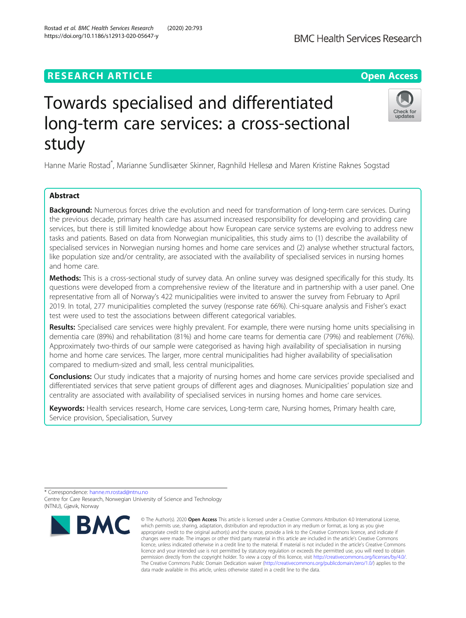## **RESEARCH ARTICLE Example 2014 12:30 The Contract of Contract ACCESS**

# Towards specialised and differentiated long-term care services: a cross-sectional study

Hanne Marie Rostad<sup>\*</sup>, Marianne Sundlisæter Skinner, Ragnhild Hellesø and Maren Kristine Raknes Sogstad

## Abstract

**Background:** Numerous forces drive the evolution and need for transformation of long-term care services. During the previous decade, primary health care has assumed increased responsibility for developing and providing care services, but there is still limited knowledge about how European care service systems are evolving to address new tasks and patients. Based on data from Norwegian municipalities, this study aims to (1) describe the availability of specialised services in Norwegian nursing homes and home care services and (2) analyse whether structural factors, like population size and/or centrality, are associated with the availability of specialised services in nursing homes and home care.

Methods: This is a cross-sectional study of survey data. An online survey was designed specifically for this study. Its questions were developed from a comprehensive review of the literature and in partnership with a user panel. One representative from all of Norway's 422 municipalities were invited to answer the survey from February to April 2019. In total, 277 municipalities completed the survey (response rate 66%). Chi-square analysis and Fisher's exact test were used to test the associations between different categorical variables.

Results: Specialised care services were highly prevalent. For example, there were nursing home units specialising in dementia care (89%) and rehabilitation (81%) and home care teams for dementia care (79%) and reablement (76%). Approximately two-thirds of our sample were categorised as having high availability of specialisation in nursing home and home care services. The larger, more central municipalities had higher availability of specialisation compared to medium-sized and small, less central municipalities.

**Conclusions:** Our study indicates that a majority of nursing homes and home care services provide specialised and differentiated services that serve patient groups of different ages and diagnoses. Municipalities' population size and centrality are associated with availability of specialised services in nursing homes and home care services.

Keywords: Health services research, Home care services, Long-term care, Nursing homes, Primary health care, Service provision, Specialisation, Survey







<sup>©</sup> The Author(s), 2020 **Open Access** This article is licensed under a Creative Commons Attribution 4.0 International License, which permits use, sharing, adaptation, distribution and reproduction in any medium or format, as long as you give appropriate credit to the original author(s) and the source, provide a link to the Creative Commons licence, and indicate if changes were made. The images or other third party material in this article are included in the article's Creative Commons licence, unless indicated otherwise in a credit line to the material. If material is not included in the article's Creative Commons licence and your intended use is not permitted by statutory regulation or exceeds the permitted use, you will need to obtain permission directly from the copyright holder. To view a copy of this licence, visit [http://creativecommons.org/licenses/by/4.0/.](http://creativecommons.org/licenses/by/4.0/) The Creative Commons Public Domain Dedication waiver [\(http://creativecommons.org/publicdomain/zero/1.0/](http://creativecommons.org/publicdomain/zero/1.0/)) applies to the data made available in this article, unless otherwise stated in a credit line to the data.

<sup>\*</sup> Correspondence: [hanne.m.rostad@ntnu.no](mailto:hanne.m.rostad@ntnu.no) Centre for Care Research, Norwegian University of Science and Technology

<sup>(</sup>NTNU), Gjøvik, Norway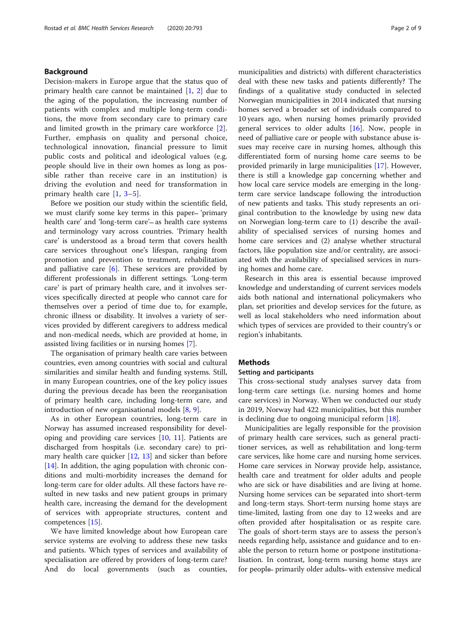## Background

Decision-makers in Europe argue that the status quo of primary health care cannot be maintained [\[1](#page-7-0), [2](#page-7-0)] due to the aging of the population, the increasing number of patients with complex and multiple long-term conditions, the move from secondary care to primary care and limited growth in the primary care workforce [\[2](#page-7-0)]. Further, emphasis on quality and personal choice, technological innovation, financial pressure to limit public costs and political and ideological values (e.g. people should live in their own homes as long as possible rather than receive care in an institution) is driving the evolution and need for transformation in primary health care [\[1](#page-7-0), [3](#page-7-0)–[5\]](#page-7-0).

Before we position our study within the scientific field, we must clarify some key terms in this paper- 'primary health care' and 'long-term care' — as health care systems and terminology vary across countries. 'Primary health care' is understood as a broad term that covers health care services throughout one's lifespan, ranging from promotion and prevention to treatment, rehabilitation and palliative care  $[6]$  $[6]$ . These services are provided by different professionals in different settings. 'Long-term care' is part of primary health care, and it involves services specifically directed at people who cannot care for themselves over a period of time due to, for example, chronic illness or disability. It involves a variety of services provided by different caregivers to address medical and non-medical needs, which are provided at home, in assisted living facilities or in nursing homes [[7](#page-8-0)].

The organisation of primary health care varies between countries, even among countries with social and cultural similarities and similar health and funding systems. Still, in many European countries, one of the key policy issues during the previous decade has been the reorganisation of primary health care, including long-term care, and introduction of new organisational models  $[8, 9]$  $[8, 9]$  $[8, 9]$  $[8, 9]$ .

As in other European countries, long-term care in Norway has assumed increased responsibility for developing and providing care services [\[10,](#page-8-0) [11\]](#page-8-0). Patients are discharged from hospitals (i.e. secondary care) to primary health care quicker  $[12, 13]$  $[12, 13]$  $[12, 13]$  $[12, 13]$  and sicker than before [[14\]](#page-8-0). In addition, the aging population with chronic conditions and multi-morbidity increases the demand for long-term care for older adults. All these factors have resulted in new tasks and new patient groups in primary health care, increasing the demand for the development of services with appropriate structures, content and competences [[15](#page-8-0)].

We have limited knowledge about how European care service systems are evolving to address these new tasks and patients. Which types of services and availability of specialisation are offered by providers of long-term care? And do local governments (such as counties, municipalities and districts) with different characteristics deal with these new tasks and patients differently? The findings of a qualitative study conducted in selected Norwegian municipalities in 2014 indicated that nursing homes served a broader set of individuals compared to 10 years ago, when nursing homes primarily provided general services to older adults  $[16]$  $[16]$ . Now, people in need of palliative care or people with substance abuse issues may receive care in nursing homes, although this differentiated form of nursing home care seems to be provided primarily in large municipalities [[17](#page-8-0)]. However, there is still a knowledge gap concerning whether and how local care service models are emerging in the longterm care service landscape following the introduction of new patients and tasks. This study represents an original contribution to the knowledge by using new data on Norwegian long-term care to (1) describe the availability of specialised services of nursing homes and home care services and (2) analyse whether structural factors, like population size and/or centrality, are associated with the availability of specialised services in nursing homes and home care.

Research in this area is essential because improved knowledge and understanding of current services models aids both national and international policymakers who plan, set priorities and develop services for the future, as well as local stakeholders who need information about which types of services are provided to their country's or region's inhabitants.

## Methods

#### Setting and participants

This cross-sectional study analyses survey data from long-term care settings (i.e. nursing homes and home care services) in Norway. When we conducted our study in 2019, Norway had 422 municipalities, but this number is declining due to ongoing municipal reform [[18\]](#page-8-0).

Municipalities are legally responsible for the provision of primary health care services, such as general practitioner services, as well as rehabilitation and long-term care services, like home care and nursing home services. Home care services in Norway provide help, assistance, health care and treatment for older adults and people who are sick or have disabilities and are living at home. Nursing home services can be separated into short-term and long-term stays. Short-term nursing home stays are time-limited, lasting from one day to 12 weeks and are often provided after hospitalisation or as respite care. The goals of short-term stays are to assess the person's needs regarding help, assistance and guidance and to enable the person to return home or postpone institutionalisation. In contrast, long-term nursing home stays are for people– primarily older adults– with extensive medical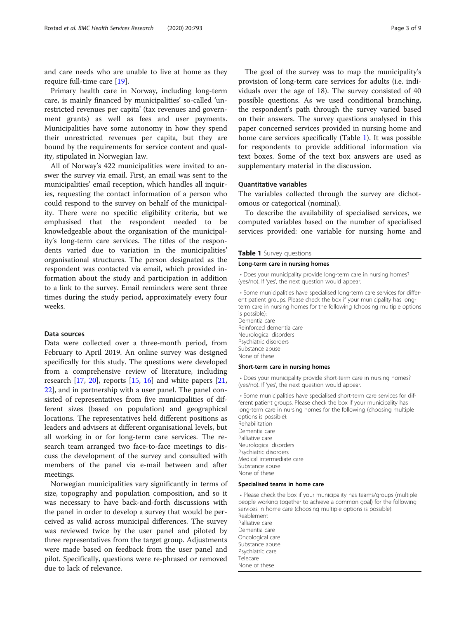and care needs who are unable to live at home as they require full-time care [[19\]](#page-8-0).

Primary health care in Norway, including long-term care, is mainly financed by municipalities' so-called 'unrestricted revenues per capita' (tax revenues and government grants) as well as fees and user payments. Municipalities have some autonomy in how they spend their unrestricted revenues per capita, but they are bound by the requirements for service content and quality, stipulated in Norwegian law.

All of Norway's 422 municipalities were invited to answer the survey via email. First, an email was sent to the municipalities' email reception, which handles all inquiries, requesting the contact information of a person who could respond to the survey on behalf of the municipality. There were no specific eligibility criteria, but we emphasised that the respondent needed to be knowledgeable about the organisation of the municipality's long-term care services. The titles of the respondents varied due to variation in the municipalities' organisational structures. The person designated as the respondent was contacted via email, which provided information about the study and participation in addition to a link to the survey. Email reminders were sent three times during the study period, approximately every four weeks.

## Data sources

Data were collected over a three-month period, from February to April 2019. An online survey was designed specifically for this study. The questions were developed from a comprehensive review of literature, including research  $[17, 20]$  $[17, 20]$  $[17, 20]$  $[17, 20]$  $[17, 20]$ , reports  $[15, 16]$  $[15, 16]$  $[15, 16]$  $[15, 16]$  $[15, 16]$  and white papers  $[21, 20]$  $[21, 20]$  $[21, 20]$ [22\]](#page-8-0), and in partnership with a user panel. The panel consisted of representatives from five municipalities of different sizes (based on population) and geographical locations. The representatives held different positions as leaders and advisers at different organisational levels, but all working in or for long-term care services. The research team arranged two face-to-face meetings to discuss the development of the survey and consulted with members of the panel via e-mail between and after meetings.

Norwegian municipalities vary significantly in terms of size, topography and population composition, and so it was necessary to have back-and-forth discussions with the panel in order to develop a survey that would be perceived as valid across municipal differences. The survey was reviewed twice by the user panel and piloted by three representatives from the target group. Adjustments were made based on feedback from the user panel and pilot. Specifically, questions were re-phrased or removed due to lack of relevance.

The goal of the survey was to map the municipality's provision of long-term care services for adults (i.e. individuals over the age of 18). The survey consisted of 40 possible questions. As we used conditional branching, the respondent's path through the survey varied based on their answers. The survey questions analysed in this paper concerned services provided in nursing home and home care services specifically (Table 1). It was possible for respondents to provide additional information via text boxes. Some of the text box answers are used as supplementary material in the discussion.

## Quantitative variables

The variables collected through the survey are dichotomous or categorical (nominal).

To describe the availability of specialised services, we computed variables based on the number of specialised services provided: one variable for nursing home and

## Table 1 Survey questions

#### Long-term care in nursing homes

• Does your municipality provide long-term care in nursing homes? (yes/no). If 'yes', the next question would appear.

• Some municipalities have specialised long-term care services for different patient groups. Please check the box if your municipality has longterm care in nursing homes for the following (choosing multiple options

is possible): Dementia care Reinforced dementia care Neurological disorders Psychiatric disorders Substance abuse None of these

## Short-term care in nursing homes

• Does your municipality provide short-term care in nursing homes? (yes/no). If 'yes', the next question would appear.

• Some municipalities have specialised short-term care services for different patient groups. Please check the box if your municipality has long-term care in nursing homes for the following (choosing multiple options is possible): Rehabilitation Dementia care Palliative care Neurological disorders Psychiatric disorders Medical intermediate care Substance abuse

None of these

#### Specialised teams in home care

• Please check the box if your municipality has teams/groups (multiple people working together to achieve a common goal) for the following services in home care (choosing multiple options is possible): Reablement Palliative care Dementia care Oncological care Substance abuse Psychiatric care Telecare None of these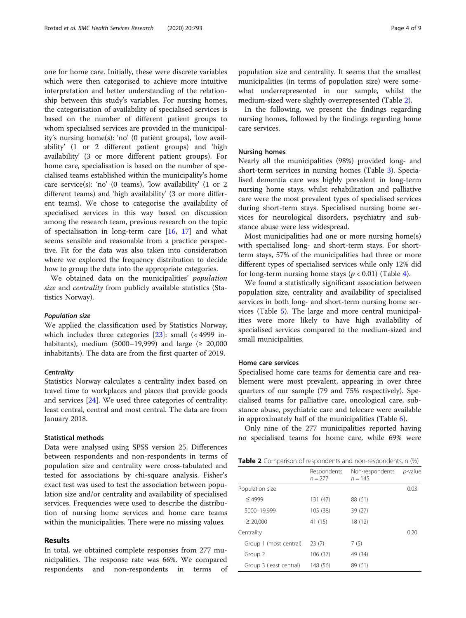<span id="page-3-0"></span>one for home care. Initially, these were discrete variables which were then categorised to achieve more intuitive interpretation and better understanding of the relationship between this study's variables. For nursing homes, the categorisation of availability of specialised services is based on the number of different patient groups to whom specialised services are provided in the municipality's nursing home(s): 'no' (0 patient groups), 'low availability' (1 or 2 different patient groups) and 'high availability' (3 or more different patient groups). For home care, specialisation is based on the number of specialised teams established within the municipality's home care service(s): 'no' (0 teams), 'low availability' (1 or 2 different teams) and 'high availability' (3 or more different teams). We chose to categorise the availability of specialised services in this way based on discussion among the research team, previous research on the topic of specialisation in long-term care [[16,](#page-8-0) [17\]](#page-8-0) and what seems sensible and reasonable from a practice perspective. Fit for the data was also taken into consideration where we explored the frequency distribution to decide how to group the data into the appropriate categories.

We obtained data on the municipalities' population size and *centrality* from publicly available statistics (Statistics Norway).

#### Population size

We applied the classification used by Statistics Norway, which includes three categories  $[23]$  $[23]$ : small  $($  4999 inhabitants), medium (5000–19,999) and large ( $\geq 20,000$ inhabitants). The data are from the first quarter of 2019.

## **Centrality**

Statistics Norway calculates a centrality index based on travel time to workplaces and places that provide goods and services [[24\]](#page-8-0). We used three categories of centrality: least central, central and most central. The data are from January 2018.

#### Statistical methods

Data were analysed using SPSS version 25. Differences between respondents and non-respondents in terms of population size and centrality were cross-tabulated and tested for associations by chi-square analysis. Fisher's exact test was used to test the association between population size and/or centrality and availability of specialised services. Frequencies were used to describe the distribution of nursing home services and home care teams within the municipalities. There were no missing values.

## Results

In total, we obtained complete responses from 277 municipalities. The response rate was 66%. We compared respondents and non-respondents in terms of

population size and centrality. It seems that the smallest municipalities (in terms of population size) were somewhat underrepresented in our sample, whilst the medium-sized were slightly overrepresented (Table 2).

In the following, we present the findings regarding nursing homes, followed by the findings regarding home care services.

## Nursing homes

Nearly all the municipalities (98%) provided long- and short-term services in nursing homes (Table [3\)](#page-4-0). Specialised dementia care was highly prevalent in long-term nursing home stays, whilst rehabilitation and palliative care were the most prevalent types of specialised services during short-term stays. Specialised nursing home services for neurological disorders, psychiatry and substance abuse were less widespread.

Most municipalities had one or more nursing home(s) with specialised long- and short-term stays. For shortterm stays, 57% of the municipalities had three or more different types of specialised services while only 12% did for long-term nursing home stays ( $p < 0.01$ ) (Table [4\)](#page-4-0).

We found a statistically significant association between population size, centrality and availability of specialised services in both long- and short-term nursing home services (Table [5\)](#page-5-0). The large and more central municipalities were more likely to have high availability of specialised services compared to the medium-sized and small municipalities.

## Home care services

Specialised home care teams for dementia care and reablement were most prevalent, appearing in over three quarters of our sample (79 and 75% respectively). Specialised teams for palliative care, oncological care, substance abuse, psychiatric care and telecare were available in approximately half of the municipalities (Table [6\)](#page-5-0).

Only nine of the 277 municipalities reported having no specialised teams for home care, while 69% were

| <b>Table 2</b> Comparison of respondents and non-respondents, n (%) |  |  |  |
|---------------------------------------------------------------------|--|--|--|
|---------------------------------------------------------------------|--|--|--|

|                         | Respondents<br>$n = 277$ | Non-respondents<br>$n = 145$ | p-value |
|-------------------------|--------------------------|------------------------------|---------|
| Population size         |                          |                              | 0.03    |
| $\leq 4999$             | 131 (47)                 | 88 (61)                      |         |
| 5000-19,999             | 105 (38)                 | 39 (27)                      |         |
| $\geq 20.000$           | 41 (15)                  | 18(12)                       |         |
| Centrality              |                          |                              | 0.20    |
| Group 1 (most central)  | 23(7)                    | 7(5)                         |         |
| Group 2                 | 106 (37)                 | 49 (34)                      |         |
| Group 3 (least central) | 148 (56)                 | 89 (61)                      |         |
|                         |                          |                              |         |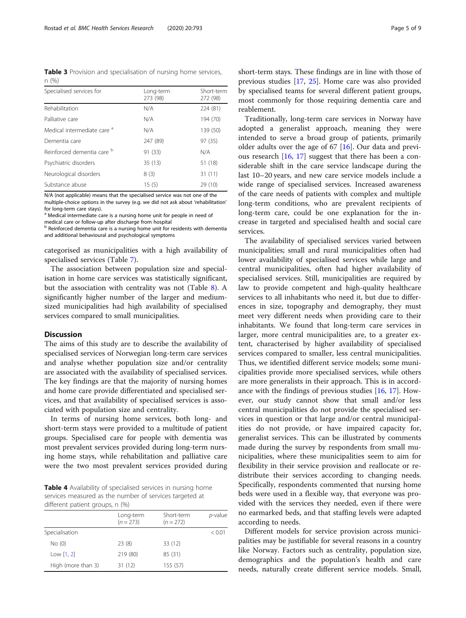<span id="page-4-0"></span>Table 3 Provision and specialisation of nursing home services, n (%)

| Specialised services for               | Long-term<br>273 (98) | Short-term<br>272 (98) |
|----------------------------------------|-----------------------|------------------------|
| Rehabilitation                         | N/A                   | 224 (81)               |
| Palliative care                        | N/A                   | 194 (70)               |
| Medical intermediate care <sup>a</sup> | N/A                   | 139 (50)               |
| Dementia care                          | 247 (89)              | 97 (35)                |
| Reinforced dementia care b             | 91 (33)               | N/A                    |
| Psychiatric disorders                  | 35(13)                | 51 (18)                |
| Neurological disorders                 | 8(3)                  | 31(11)                 |
| Substance abuse                        | 15(5)                 | 29 (10)                |

N/A (not applicable) means that the specialised service was not one of the multiple-choice options in the survey (e.g. we did not ask about 'rehabilitation' for long-term care stays).

<sup>a</sup> Medical intermediate care is a nursing home unit for people in need of medical care or follow-up after discharge from hospital

b Reinforced dementia care is a nursing home unit for residents with dementia and additional behavioural and psychological symptoms

categorised as municipalities with a high availability of specialised services (Table [7](#page-5-0)).

The association between population size and specialisation in home care services was statistically significant, but the association with centrality was not (Table [8](#page-6-0)). A significantly higher number of the larger and mediumsized municipalities had high availability of specialised services compared to small municipalities.

## Discussion

The aims of this study are to describe the availability of specialised services of Norwegian long-term care services and analyse whether population size and/or centrality are associated with the availability of specialised services. The key findings are that the majority of nursing homes and home care provide differentiated and specialised services, and that availability of specialised services is associated with population size and centrality.

In terms of nursing home services, both long- and short-term stays were provided to a multitude of patient groups. Specialised care for people with dementia was most prevalent services provided during long-term nursing home stays, while rehabilitation and palliative care were the two most prevalent services provided during

Table 4 Availability of specialised services in nursing home services measured as the number of services targeted at different patient groups, n (%)

|                    | Long-term<br>$(n = 273)$ | Short-term<br>$(n = 272)$ | p-value |
|--------------------|--------------------------|---------------------------|---------|
| Specialisation     |                          |                           | < 0.01  |
| No(0)              | 23(8)                    | 33 (12)                   |         |
| Low $[1, 2]$       | 219 (80)                 | 85 (31)                   |         |
| High (more than 3) | 31 (12)                  | 155 (57)                  |         |

short-term stays. These findings are in line with those of previous studies [[17](#page-8-0), [25](#page-8-0)]. Home care was also provided by specialised teams for several different patient groups, most commonly for those requiring dementia care and reablement.

Traditionally, long-term care services in Norway have adopted a generalist approach, meaning they were intended to serve a broad group of patients, primarily older adults over the age of 67 [[16\]](#page-8-0). Our data and previous research [\[16,](#page-8-0) [17](#page-8-0)] suggest that there has been a considerable shift in the care service landscape during the last 10–20 years, and new care service models include a wide range of specialised services. Increased awareness of the care needs of patients with complex and multiple long-term conditions, who are prevalent recipients of long-term care, could be one explanation for the increase in targeted and specialised health and social care services.

The availability of specialised services varied between municipalities; small and rural municipalities often had lower availability of specialised services while large and central municipalities, often had higher availability of specialised services. Still, municipalities are required by law to provide competent and high-quality healthcare services to all inhabitants who need it, but due to differences in size, topography and demography, they must meet very different needs when providing care to their inhabitants. We found that long-term care services in larger, more central municipalities are, to a greater extent, characterised by higher availability of specialised services compared to smaller, less central municipalities. Thus, we identified different service models; some municipalities provide more specialised services, while others are more generalists in their approach. This is in accordance with the findings of previous studies [\[16,](#page-8-0) [17](#page-8-0)]. However, our study cannot show that small and/or less central municipalities do not provide the specialised services in question or that large and/or central municipalities do not provide, or have impaired capacity for, generalist services. This can be illustrated by comments made during the survey by respondents from small municipalities, where these municipalities seem to aim for flexibility in their service provision and reallocate or redistribute their services according to changing needs. Specifically, respondents commented that nursing home beds were used in a flexible way, that everyone was provided with the services they needed, even if there were no earmarked beds, and that staffing levels were adapted according to needs.

Different models for service provision across municipalities may be justifiable for several reasons in a country like Norway. Factors such as centrality, population size, demographics and the population's health and care needs, naturally create different service models. Small,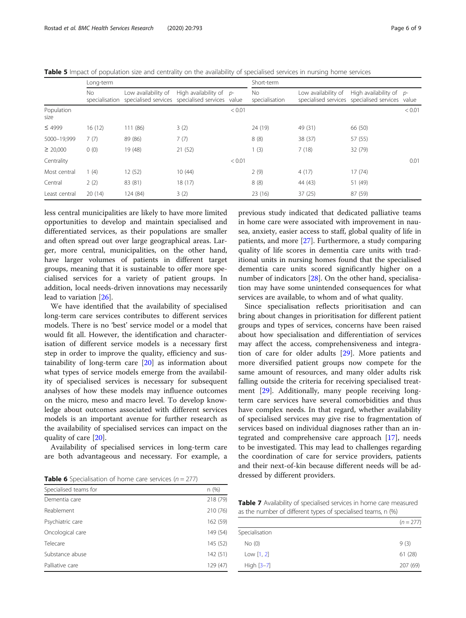<span id="page-5-0"></span>

|  |  |  |  | Table 5 Impact of population size and centrality on the availability of specialised services in nursing home services |
|--|--|--|--|-----------------------------------------------------------------------------------------------------------------------|
|--|--|--|--|-----------------------------------------------------------------------------------------------------------------------|

|                    | Long-term             |                                                                        |                           | Short-term |                       |                     |                                                                              |        |
|--------------------|-----------------------|------------------------------------------------------------------------|---------------------------|------------|-----------------------|---------------------|------------------------------------------------------------------------------|--------|
|                    | No.<br>specialisation | Low availability of<br>specialised services specialised services value | High availability of $p-$ |            | No.<br>specialisation | Low availability of | High availability of $p-$<br>specialised services specialised services value |        |
| Population<br>size |                       |                                                                        |                           | < 0.01     |                       |                     |                                                                              | < 0.01 |
| $\leq 4999$        | 16(12)                | 111 (86)                                                               | 3(2)                      |            | 24 (19)               | 49 (31)             | 66 (50)                                                                      |        |
| 5000-19,999        | 7(7)                  | 89 (86)                                                                | 7(7)                      |            | 8(8)                  | 38 (37)             | 57 (55)                                                                      |        |
| $\geq 20,000$      | 0(0)                  | 19 (48)                                                                | 21(52)                    |            | (3)                   | 7(18)               | 32 (79)                                                                      |        |
| Centrality         |                       |                                                                        |                           | < 0.01     |                       |                     |                                                                              | 0.01   |
| Most central       | 1(4)                  | 12(52)                                                                 | 10(44)                    |            | 2(9)                  | 4(17)               | 17(74)                                                                       |        |
| Central            | 2(2)                  | 83 (81)                                                                | 18 (17)                   |            | 8(8)                  | 44 (43)             | 51 (49)                                                                      |        |
| Least central      | 20(14)                | 124 (84)                                                               | 3(2)                      |            | 23(16)                | 37(25)              | 87 (59)                                                                      |        |

less central municipalities are likely to have more limited opportunities to develop and maintain specialised and differentiated services, as their populations are smaller and often spread out over large geographical areas. Larger, more central, municipalities, on the other hand, have larger volumes of patients in different target groups, meaning that it is sustainable to offer more specialised services for a variety of patient groups. In addition, local needs-driven innovations may necessarily lead to variation [\[26](#page-8-0)].

We have identified that the availability of specialised long-term care services contributes to different services models. There is no 'best' service model or a model that would fit all. However, the identification and characterisation of different service models is a necessary first step in order to improve the quality, efficiency and sustainability of long-term care [\[20\]](#page-8-0) as information about what types of service models emerge from the availability of specialised services is necessary for subsequent analyses of how these models may influence outcomes on the micro, meso and macro level. To develop knowledge about outcomes associated with different services models is an important avenue for further research as the availability of specialised services can impact on the quality of care [\[20\]](#page-8-0).

Availability of specialised services in long-term care are both advantageous and necessary. For example, a

|  |  |  | <b>Table 6</b> Specialisation of home care services ( $n = 277$ ) |
|--|--|--|-------------------------------------------------------------------|
|--|--|--|-------------------------------------------------------------------|

| Specialised teams for | n (%)    |
|-----------------------|----------|
| Dementia care         | 218 (79) |
| Reablement            | 210 (76) |
| Psychiatric care      | 162 (59) |
| Oncological care      | 149 (54) |
| Telecare              | 145 (52) |
| Substance abuse       | 142 (51) |
| Palliative care       | 129 (47) |

previous study indicated that dedicated palliative teams in home care were associated with improvement in nausea, anxiety, easier access to staff, global quality of life in patients, and more [\[27](#page-8-0)]. Furthermore, a study comparing quality of life scores in dementia care units with traditional units in nursing homes found that the specialised dementia care units scored significantly higher on a number of indicators [\[28\]](#page-8-0). On the other hand, specialisation may have some unintended consequences for what services are available, to whom and of what quality.

Since specialisation reflects prioritisation and can bring about changes in prioritisation for different patient groups and types of services, concerns have been raised about how specialisation and differentiation of services may affect the access, comprehensiveness and integration of care for older adults [[29\]](#page-8-0). More patients and more diversified patient groups now compete for the same amount of resources, and many older adults risk falling outside the criteria for receiving specialised treatment [[29\]](#page-8-0). Additionally, many people receiving longterm care services have several comorbidities and thus have complex needs. In that regard, whether availability of specialised services may give rise to fragmentation of services based on individual diagnoses rather than an integrated and comprehensive care approach [[17](#page-8-0)], needs to be investigated. This may lead to challenges regarding the coordination of care for service providers, patients and their next-of-kin because different needs will be addressed by different providers.

Table 7 Availability of specialised services in home care measured as the number of different types of specialised teams, n (%)

|                | $(n = 277)$ |
|----------------|-------------|
| Specialisation |             |
| No(0)          | 9(3)        |
| Low $[1, 2]$   | 61(28)      |
| High [3-7]     | 207 (69)    |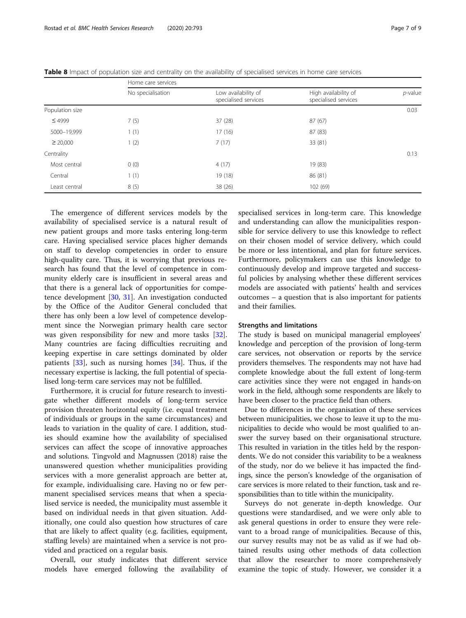|                 | Home care services |                                             |                                              |            |  |
|-----------------|--------------------|---------------------------------------------|----------------------------------------------|------------|--|
|                 | No specialisation  | Low availability of<br>specialised services | High availability of<br>specialised services | $p$ -value |  |
| Population size |                    |                                             |                                              | 0.03       |  |
| $\leq 4999$     | 7(5)               | 37 (28)                                     | 87(67)                                       |            |  |
| 5000-19,999     | 1(1)               | 17(16)                                      | 87 (83)                                      |            |  |
| $\geq$ 20,000   | 1(2)               | 7(17)                                       | 33 (81)                                      |            |  |
| Centrality      |                    |                                             |                                              | 0.13       |  |
| Most central    | 0(0)               | 4(17)                                       | 19 (83)                                      |            |  |
| Central         | 1(1)               | 19 (18)                                     | 86 (81)                                      |            |  |
| Least central   | 8(5)               | 38(26)                                      | 102 (69)                                     |            |  |

<span id="page-6-0"></span>Table 8 Impact of population size and centrality on the availability of specialised services in home care services

The emergence of different services models by the availability of specialised service is a natural result of new patient groups and more tasks entering long-term care. Having specialised service places higher demands on staff to develop competencies in order to ensure high-quality care. Thus, it is worrying that previous research has found that the level of competence in community elderly care is insufficient in several areas and that there is a general lack of opportunities for competence development [[30,](#page-8-0) [31](#page-8-0)]. An investigation conducted by the Office of the Auditor General concluded that there has only been a low level of competence development since the Norwegian primary health care sector was given responsibility for new and more tasks [\[32](#page-8-0)]. Many countries are facing difficulties recruiting and keeping expertise in care settings dominated by older patients [\[33](#page-8-0)], such as nursing homes [[34\]](#page-8-0). Thus, if the necessary expertise is lacking, the full potential of specialised long-term care services may not be fulfilled.

Furthermore, it is crucial for future research to investigate whether different models of long-term service provision threaten horizontal equity (i.e. equal treatment of individuals or groups in the same circumstances) and leads to variation in the quality of care. I addition, studies should examine how the availability of specialised services can affect the scope of innovative approaches and solutions. Tingvold and Magnussen (2018) raise the unanswered question whether municipalities providing services with a more generalist approach are better at, for example, individualising care. Having no or few permanent specialised services means that when a specialised service is needed, the municipality must assemble it based on individual needs in that given situation. Additionally, one could also question how structures of care that are likely to affect quality (e.g. facilities, equipment, staffing levels) are maintained when a service is not provided and practiced on a regular basis.

Overall, our study indicates that different service models have emerged following the availability of

specialised services in long-term care. This knowledge and understanding can allow the municipalities responsible for service delivery to use this knowledge to reflect on their chosen model of service delivery, which could be more or less intentional, and plan for future services. Furthermore, policymakers can use this knowledge to continuously develop and improve targeted and successful policies by analysing whether these different services models are associated with patients' health and services outcomes – a question that is also important for patients and their families.

#### Strengths and limitations

The study is based on municipal managerial employees' knowledge and perception of the provision of long-term care services, not observation or reports by the service providers themselves. The respondents may not have had complete knowledge about the full extent of long-term care activities since they were not engaged in hands-on work in the field, although some respondents are likely to have been closer to the practice field than others.

Due to differences in the organisation of these services between municipalities, we chose to leave it up to the municipalities to decide who would be most qualified to answer the survey based on their organisational structure. This resulted in variation in the titles held by the respondents. We do not consider this variability to be a weakness of the study, nor do we believe it has impacted the findings, since the person's knowledge of the organisation of care services is more related to their function, task and responsibilities than to title within the municipality.

Surveys do not generate in-depth knowledge. Our questions were standardised, and we were only able to ask general questions in order to ensure they were relevant to a broad range of municipalities. Because of this, our survey results may not be as valid as if we had obtained results using other methods of data collection that allow the researcher to more comprehensively examine the topic of study. However, we consider it a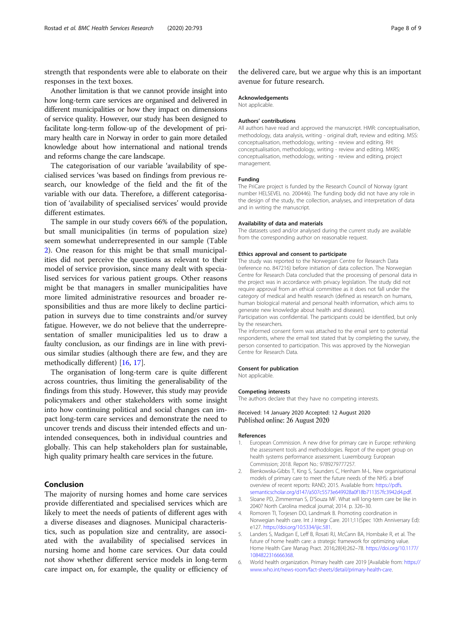<span id="page-7-0"></span>strength that respondents were able to elaborate on their responses in the text boxes.

Another limitation is that we cannot provide insight into how long-term care services are organised and delivered in different municipalities or how they impact on dimensions of service quality. However, our study has been designed to facilitate long-term follow-up of the development of primary health care in Norway in order to gain more detailed knowledge about how international and national trends and reforms change the care landscape.

The categorisation of our variable 'availability of specialised services 'was based on findings from previous research, our knowledge of the field and the fit of the variable with our data. Therefore, a different categorisation of 'availability of specialised services' would provide different estimates.

The sample in our study covers 66% of the population, but small municipalities (in terms of population size) seem somewhat underrepresented in our sample (Table [2\)](#page-3-0). One reason for this might be that small municipalities did not perceive the questions as relevant to their model of service provision, since many dealt with specialised services for various patient groups. Other reasons might be that managers in smaller municipalities have more limited administrative resources and broader responsibilities and thus are more likely to decline participation in surveys due to time constraints and/or survey fatigue. However, we do not believe that the underrepresentation of smaller municipalities led us to draw a faulty conclusion, as our findings are in line with previous similar studies (although there are few, and they are methodically different) [[16,](#page-8-0) [17](#page-8-0)].

The organisation of long-term care is quite different across countries, thus limiting the generalisability of the findings from this study. However, this study may provide policymakers and other stakeholders with some insight into how continuing political and social changes can impact long-term care services and demonstrate the need to uncover trends and discuss their intended effects and unintended consequences, both in individual countries and globally. This can help stakeholders plan for sustainable, high quality primary health care services in the future.

## Conclusion

The majority of nursing homes and home care services provide differentiated and specialised services which are likely to meet the needs of patients of different ages with a diverse diseases and diagnoses. Municipal characteristics, such as population size and centrality, are associated with the availability of specialised services in nursing home and home care services. Our data could not show whether different service models in long-term care impact on, for example, the quality or efficiency of

the delivered care, but we argue why this is an important avenue for future research.

#### Acknowledgements

Not applicable.

#### Authors' contributions

All authors have read and approved the manuscript. HMR: conceptualisation, methodology, data analysis, writing - original draft, review and editing. MSS: conceptualisation, methodology, writing - review and editing. RH: conceptualisation, methodology, writing - review and editing. MKRS: conceptualisation, methodology, writing - review and editing, project management.

#### Funding

The PriCare project is funded by the Research Council of Norway (grant number HELSEVEL no. 200446). The funding body did not have any role in the design of the study, the collection, analyses, and interpretation of data and in writing the manuscript.

## Availability of data and materials

The datasets used and/or analysed during the current study are available from the corresponding author on reasonable request.

#### Ethics approval and consent to participate

The study was reported to the Norwegian Centre for Research Data (reference no. 847216) before initiation of data collection. The Norwegian Centre for Research Data concluded that the processing of personal data in the project was in accordance with privacy legislation. The study did not require approval from an ethical committee as it does not fall under the category of medical and health research (defined as research on humans, human biological material and personal health information, which aims to generate new knowledge about health and diseases).

Participation was confidential. The participants could be identified, but only by the researchers.

The informed consent form was attached to the email sent to potential respondents, where the email text stated that by completing the survey, the person consented to participation. This was approved by the Norwegian Centre for Research Data.

#### Consent for publication

Not applicable.

#### Competing interests

The authors declare that they have no competing interests.

Received: 14 January 2020 Accepted: 12 August 2020 Published online: 26 August 2020

#### References

- 1. European Commission. A new drive for primary care in Europe: rethinking the assessment tools and methodologies. Report of the expert group on health systems performance assessment. Luxembourg: European Commission; 2018. Report No.: 9789279777257.
- 2. Bienkowska-Gibbs T, King S, Saunders C, Henham M-L. New organisational models of primary care to meet the future needs of the NHS: a brief overview of recent reports: RAND; 2015. Available from: [https://pdfs.](https://pdfs.semanticscholar.org/d147/a507c5573e649928a0f18b711357fc3942d4.pdf) [semanticscholar.org/d147/a507c5573e649928a0f18b711357fc3942d4.pdf.](https://pdfs.semanticscholar.org/d147/a507c5573e649928a0f18b711357fc3942d4.pdf)
- 3. Sloane PD, Zimmerman S, D'Souza MF. What will long-term care be like in 2040? North Carolina medical journal; 2014. p. 326–30.
- 4. Romoren TI, Torjesen DO, Landmark B. Promoting coordination in Norwegian health care. Int J Integr Care. 2011;11(Spec 10th Anniversary Ed): e127. [https://doi.org/10.5334/ijic.581.](https://doi.org/10.5334/ijic.581)
- 5. Landers S, Madigan E, Leff B, Rosati RJ, McCann BA, Hornbake R, et al. The future of home health care: a strategic framework for optimizing value. Home Health Care Manag Pract. 2016;28(4):262–78. [https://doi.org/10.1177/](https://doi.org/10.1177/1084822316666368) [1084822316666368](https://doi.org/10.1177/1084822316666368).
- 6. World health organization. Primary health care 2019 [Available from: [https://](https://www.who.int/news-room/fact-sheets/detail/primary-health-care) [www.who.int/news-room/fact-sheets/detail/primary-health-care](https://www.who.int/news-room/fact-sheets/detail/primary-health-care).